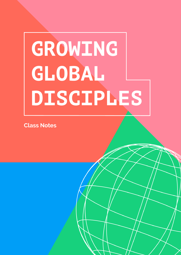# **GROWING GLOBAL DISCIPLES**

**Class Notes**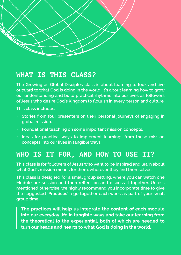## **WHAT IS THIS CLASS?**

**The Growing as Global Disciples class is about learning to look and live outward to what God is doing in the world. It's about learning how to grow our understanding and build practical rhythms into our lives as followers of Jesus who desire God's Kingdom to flourish in every person and culture.** 

**This class includes:**

- **• ●Stories from four presenters on their personal journeys of engaging in global mission.**
- **• Foundational teaching on some important mission concepts.**
- **• Ideas for practical ways to implement learnings from these mission concepts into our lives in tangible ways.**

## **WHO IS IT FOR, AND HOW TO USE IT?**

**This class is for followers of Jesus who want to be inspired and learn about what God's mission means for them, wherever they find themselves.** 

**This class is designed for a small group setting, where you can watch one Module per session and then reflect on and discuss it together. Unless mentioned otherwise, we highly recommend you incorporate time to give the suggested 'Practices' a go together each week as part of your small group time.** 

**The practices will help us integrate the content of each module into our everyday life in tangible ways and take our learning from the theoretical to the experiential, both of which are needed to turn our heads and hearts to what God is doing in the world.**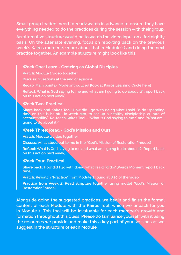**Small group leaders need to read/watch in advance to ensure they have everything needed to do the practices during the session with their group.** 

**An alternative structure would be to watch the video input on a fortnightly basis. On the alternate evening, focus on reporting back on the previous week's Kairos moments (more about that in Module 1) and doing the next practice together. An example structure might look like this:**

#### **●Week One: Learn - Growing as Global Disciples**

**Watch: Module 1 video together**

**Discuss: Questions at the end of episode**

**Recap: Main points/ Model introduced [look at Kairos Learning Circle here]**

**Reflect: What is God saying to me and what am I going to do about it? (report back on this action next week)**

#### **Week Two: Practical**

**Share back and Kairos Tool: How did I go with doing what I said I'd do (spending time on this is helpful in week two, to set up a healthy discipleship culture of accountability). Re-teach Kairos Tool - "What is God saying to me?" and "What am I going to do about it?"**

#### **Week Three: Read - God's Mission and Ours**

**Watch: Module 2 video together**

**Discuss: What stood out to me in the "God's Mission of Restoration" model?**

**Reflect: What is God saying to me and what am I going to do about it? (Report back on this action next week)**

#### **Week Four: Practical**

**Share back: How did I go with doing what I said I'd do? (Kairos Moment report back time)**

**Watch: Rewatch "Practice" from Module 2 found at 8:10 of the video**

**Practice from Week 2: Read Scripture together using model "God's Mission of Restoration" model**

**Alongside doing the suggested practices, we begin and finish the formal content of each Module with the Kairos Tool, which we unpack for you in Module 1. This tool will be invaluable for each member's growth and formation throughout this Class. Please do familiarise yourself with it using the resources we provide and make this a key part of your sessions as we suggest in the structure of each Module.**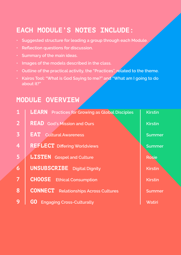## **EACH MODULE'S NOTES INCLUDE:**

- **• Suggested structure for leading a group through each Module.**
- **• Reflection questions for discussion.**
- **• Summary of the main ideas.**
- **• Images of the models described in the class.**
- **• Outline of the practical activity, the "Practices", related to the theme.**
- **• Kairos Tool: "What is God Saying to me?" and "What am I going to do about it?"**

## **MODULE OVERVIEW**

| $\mathbf{1}$            | <b>LEARN</b> Practices for Growing as Global Disciples | <b>Kirstin</b> |
|-------------------------|--------------------------------------------------------|----------------|
| $\overline{2}$          | <b>READ</b> God's Mission and Ours                     | <b>Kirstin</b> |
| $\overline{\mathbf{3}}$ | <b>EAT</b><br><b>Cultural Awareness</b>                | <b>Summer</b>  |
| 4                       | <b>REFLECT</b> Differing Worldviews                    | <b>Summer</b>  |
| 5                       | <b>LISTEN</b> Gospel and Culture                       | <b>Rosie</b>   |
| 6                       | <b>UNSUBSCRIBE</b> Digital Dignity                     | <b>Kirstin</b> |
| $\overline{7}$          | <b>CHOOSE</b><br><b>Ethical Consumption</b>            | <b>Kirstin</b> |
| 8                       | <b>CONNECT</b><br><b>Relationships Across Cultures</b> | <b>Summer</b>  |
| 9                       | GO<br><b>Engaging Cross-Culturally</b>                 | <b>Watiri</b>  |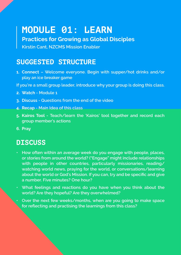## **MODULE 01: LEARN**

**Practices for Growing as Global Disciples Kirstin Cant, NZCMS Mission Enabler**

## **SUGGESTED STRUCTURE**

- **1. Connect Welcome everyone. Begin with supper/hot drinks and/or play an ice breaker game**
- **If you're a small group leader, introduce why your group is doing this class.**
- **2. Watch Module 1**
- **3. Discuss Questions from the end of the video**
- **4. Recap Main Idea of this class**
- **5. Kairos Tool Teach/learn the 'Kairos' tool together and record each group member's actions**
- **6. Pray**

## **DISCUSS**

- **• How often within an average week do you engage with people, places, or stories from around the world? ("Engage" might include relationships with people in other countries, particularly missionaries, reading/ watching world news, praying for the world, or conversations/learning about the world or God's Mission. If you can, try and be specific and give a number. Five minutes? One hour?**
- **• What feelings and reactions do you have when you think about the world? Are they hopeful? Are they overwhelmed?**
- **• Over the next few weeks/months, when are you going to make space for reflecting and practising the learnings from this class?**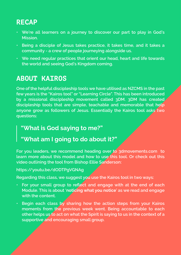## **RECAP**

- **• We're all learners on a journey to discover our part to play in God's Mission.**
- **• Being a disciple of Jesus takes practice, it takes time, and it takes a community - a crew of people journeying alongside us.**
- **• We need regular practices that orient our head, heart and life towards the world and seeing God's Kingdom coming.**

## **ABOUT KAIROS**

**One of the helpful discipleship tools we have utilised as NZCMS in the past few years is the "Kairos tool" or "Learning Circle". This has been introduced by a missional discipleship movement called 3DM. 3DM has created discipleship tools that are simple, teachable and memorable that help anyone grow as followers of Jesus. Essentially the Kairos tool asks two questions:**

#### **"What is God saying to me?"**

#### **"What am I going to do about it?"**

**For you leaders, we recommend heading over to 3dmovements.com to learn more about this model and how to use this tool. Or check out this video outlining the tool from Bishop Ellie Sanderson:**

#### **https://youtu.be/dODTPgVGNAg**

**Regarding this class, we suggest you use the Kairos tool in two ways:**

- **• For your small group to reflect and engage with at the end of each Module. This is about 'noticing what you notice' as we read and engage with the content.**
- **• Begin each class by sharing how the action steps from your Kairos moments from the previous week went. Being accountable to each other helps us to act on what the Spirit is saying to us in the context of a supportive and encouraging small group.**